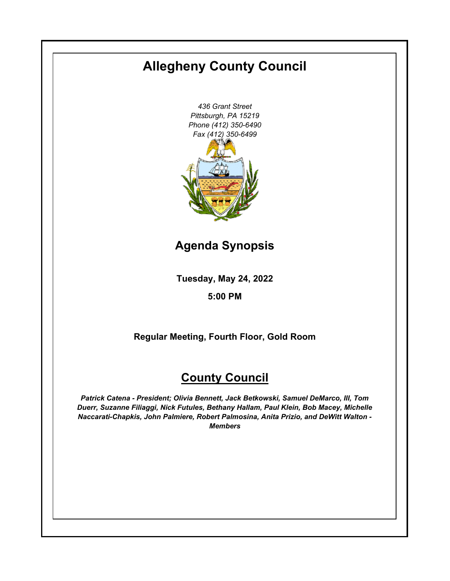# **Allegheny County Council**

*436 Grant Street Pittsburgh, PA 15219 Phone (412) 350-6490 Fax (412) 350-6499*

**Agenda Synopsis**

**Tuesday, May 24, 2022**

**5:00 PM**

**Regular Meeting, Fourth Floor, Gold Room**

# **County Council**

*Patrick Catena - President; Olivia Bennett, Jack Betkowski, Samuel DeMarco, III, Tom Duerr, Suzanne Filiaggi, Nick Futules, Bethany Hallam, Paul Klein, Bob Macey, Michelle Naccarati-Chapkis, John Palmiere, Robert Palmosina, Anita Prizio, and DeWitt Walton - Members*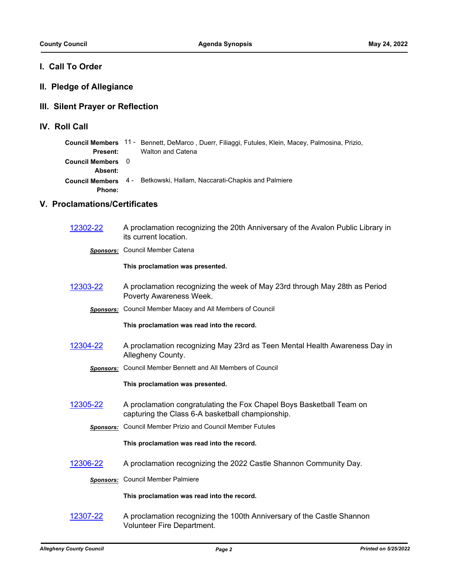# **I. Call To Order**

# **II. Pledge of Allegiance**

# **III. Silent Prayer or Reflection**

**IV. Roll Call**

|                   | Council Members 11 - Bennett, DeMarco, Duerr, Filiaggi, Futules, Klein, Macey, Palmosina, Prizio, |
|-------------------|---------------------------------------------------------------------------------------------------|
| Present:          | Walton and Catena                                                                                 |
| Council Members 0 |                                                                                                   |
| <b>Absent:</b>    |                                                                                                   |
|                   | Council Members 4 - Betkowski, Hallam, Naccarati-Chapkis and Palmiere                             |
| Phone:            |                                                                                                   |
|                   |                                                                                                   |

# **V. Proclamations/Certificates**

| 12302-22 | A proclamation recognizing the 20th Anniversary of the Avalon Public Library in<br>its current location.                 |
|----------|--------------------------------------------------------------------------------------------------------------------------|
|          | <b>Sponsors:</b> Council Member Catena                                                                                   |
|          | This proclamation was presented.                                                                                         |
| 12303-22 | A proclamation recognizing the week of May 23rd through May 28th as Period<br>Poverty Awareness Week.                    |
|          | Sponsors: Council Member Macey and All Members of Council                                                                |
|          | This proclamation was read into the record.                                                                              |
| 12304-22 | A proclamation recognizing May 23rd as Teen Mental Health Awareness Day in<br>Allegheny County.                          |
|          | <b>Sponsors:</b> Council Member Bennett and All Members of Council                                                       |
|          | This proclamation was presented.                                                                                         |
| 12305-22 | A proclamation congratulating the Fox Chapel Boys Basketball Team on<br>capturing the Class 6-A basketball championship. |
|          | Sponsors: Council Member Prizio and Council Member Futules                                                               |
|          | This proclamation was read into the record.                                                                              |
| 12306-22 | A proclamation recognizing the 2022 Castle Shannon Community Day.                                                        |
|          | <b>Sponsors:</b> Council Member Palmiere                                                                                 |
|          | This proclamation was read into the record.                                                                              |
| 12307-22 | A proclamation recognizing the 100th Anniversary of the Castle Shannon<br><b>Volunteer Fire Department.</b>              |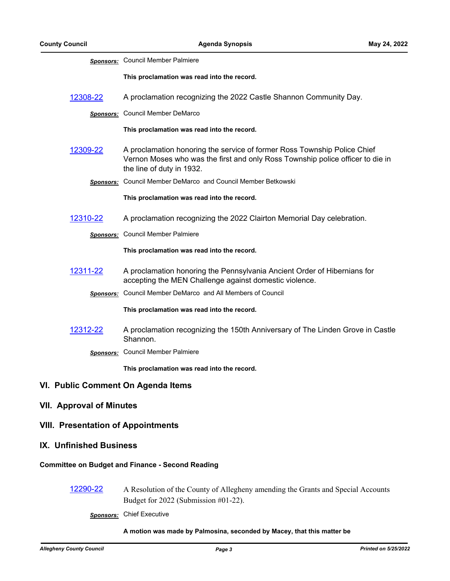|                                                         | <b>Sponsors:</b> Council Member Palmiere                                                                                                                                                |  |  |
|---------------------------------------------------------|-----------------------------------------------------------------------------------------------------------------------------------------------------------------------------------------|--|--|
|                                                         | This proclamation was read into the record.                                                                                                                                             |  |  |
| 12308-22                                                | A proclamation recognizing the 2022 Castle Shannon Community Day.                                                                                                                       |  |  |
|                                                         | <b>Sponsors:</b> Council Member DeMarco                                                                                                                                                 |  |  |
|                                                         | This proclamation was read into the record.                                                                                                                                             |  |  |
| 12309-22                                                | A proclamation honoring the service of former Ross Township Police Chief<br>Vernon Moses who was the first and only Ross Township police officer to die in<br>the line of duty in 1932. |  |  |
|                                                         | Sponsors: Council Member DeMarco and Council Member Betkowski                                                                                                                           |  |  |
|                                                         | This proclamation was read into the record.                                                                                                                                             |  |  |
| 12310-22                                                | A proclamation recognizing the 2022 Clairton Memorial Day celebration.                                                                                                                  |  |  |
|                                                         | <b>Sponsors:</b> Council Member Palmiere                                                                                                                                                |  |  |
|                                                         | This proclamation was read into the record.                                                                                                                                             |  |  |
| 12311-22                                                | A proclamation honoring the Pennsylvania Ancient Order of Hibernians for<br>accepting the MEN Challenge against domestic violence.                                                      |  |  |
|                                                         | <b>Sponsors:</b> Council Member DeMarco and All Members of Council                                                                                                                      |  |  |
|                                                         | This proclamation was read into the record.                                                                                                                                             |  |  |
| 12312-22                                                | A proclamation recognizing the 150th Anniversary of The Linden Grove in Castle<br>Shannon.                                                                                              |  |  |
|                                                         | Sponsors: Council Member Palmiere                                                                                                                                                       |  |  |
|                                                         | This proclamation was read into the record.                                                                                                                                             |  |  |
| VI. Public Comment On Agenda Items                      |                                                                                                                                                                                         |  |  |
| <b>VII. Approval of Minutes</b>                         |                                                                                                                                                                                         |  |  |
| <b>VIII. Presentation of Appointments</b>               |                                                                                                                                                                                         |  |  |
| IX. Unfinished Business                                 |                                                                                                                                                                                         |  |  |
| <b>Committee on Budget and Finance - Second Reading</b> |                                                                                                                                                                                         |  |  |

[12290-22](http://allegheny.legistar.com/gateway.aspx?m=l&id=/matter.aspx?key=13355) A Resolution of the County of Allegheny amending the Grants and Special Accounts Budget for 2022 (Submission #01-22).

*Sponsors:* Chief Executive

#### **A motion was made by Palmosina, seconded by Macey, that this matter be**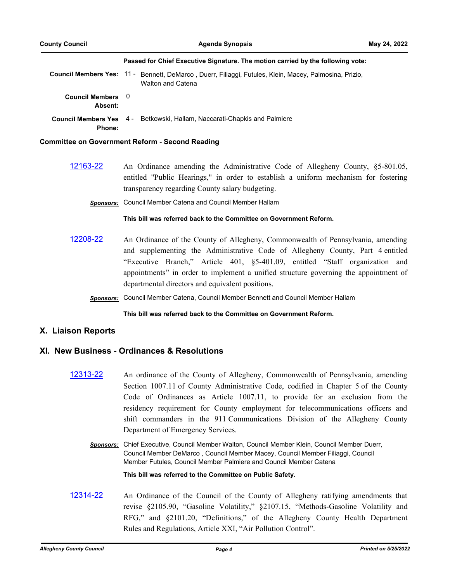#### **Passed for Chief Executive Signature. The motion carried by the following vote:**

Council Members Yes: 11 - Bennett, DeMarco, Duerr, Filiaggi, Futules, Klein, Macey, Palmosina, Prizio, Walton and Catena

**Council Members**  0 **Absent:**

**Council Members Yes**  4 - Betkowski, Hallam, Naccarati-Chapkis and Palmiere

**Phone:**

#### **Committee on Government Reform - Second Reading**

- [12163-22](http://allegheny.legistar.com/gateway.aspx?m=l&id=/matter.aspx?key=13228) An Ordinance amending the Administrative Code of Allegheny County, §5-801.05, entitled "Public Hearings," in order to establish a uniform mechanism for fostering transparency regarding County salary budgeting.
	- *Sponsors:* Council Member Catena and Council Member Hallam

#### **This bill was referred back to the Committee on Government Reform.**

- [12208-22](http://allegheny.legistar.com/gateway.aspx?m=l&id=/matter.aspx?key=13273) An Ordinance of the County of Allegheny, Commonwealth of Pennsylvania, amending and supplementing the Administrative Code of Allegheny County, Part 4 entitled "Executive Branch," Article 401, §5-401.09, entitled "Staff organization and appointments" in order to implement a unified structure governing the appointment of departmental directors and equivalent positions.
	- *Sponsors:* Council Member Catena, Council Member Bennett and Council Member Hallam

#### **This bill was referred back to the Committee on Government Reform.**

### **X. Liaison Reports**

# **XI. New Business - Ordinances & Resolutions**

- [12313-22](http://allegheny.legistar.com/gateway.aspx?m=l&id=/matter.aspx?key=13378) An ordinance of the County of Allegheny, Commonwealth of Pennsylvania, amending Section 1007.11 of County Administrative Code, codified in Chapter 5 of the County Code of Ordinances as Article 1007.11, to provide for an exclusion from the residency requirement for County employment for telecommunications officers and shift commanders in the 911 Communications Division of the Allegheny County Department of Emergency Services.
	- *Sponsors:* Chief Executive, Council Member Walton, Council Member Klein, Council Member Duerr, Council Member DeMarco , Council Member Macey, Council Member Filiaggi, Council Member Futules, Council Member Palmiere and Council Member Catena

**This bill was referred to the Committee on Public Safety.**

[12314-22](http://allegheny.legistar.com/gateway.aspx?m=l&id=/matter.aspx?key=13379) An Ordinance of the Council of the County of Allegheny ratifying amendments that revise §2105.90, "Gasoline Volatility," §2107.15, "Methods-Gasoline Volatility and RFG," and §2101.20, "Definitions," of the Allegheny County Health Department Rules and Regulations, Article XXI, "Air Pollution Control".